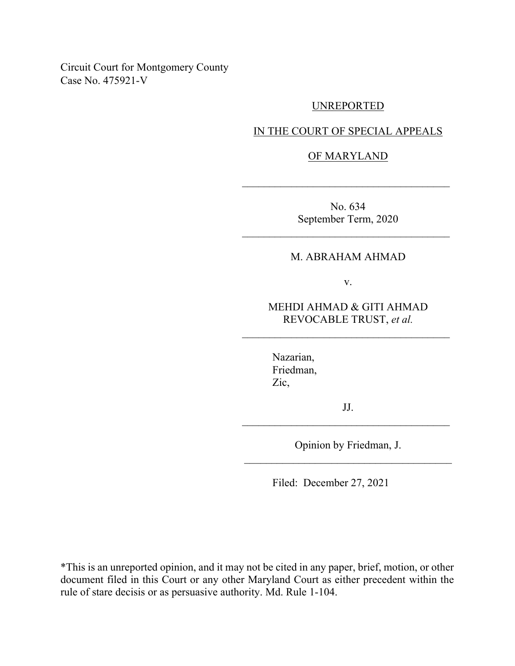Circuit Court for Montgomery County Case No. 475921-V

### UNREPORTED

IN THE COURT OF SPECIAL APPEALS

#### OF MARYLAND

 $\mathcal{L}_\text{max}$  and  $\mathcal{L}_\text{max}$  and  $\mathcal{L}_\text{max}$  and  $\mathcal{L}_\text{max}$ 

No. 634 September Term, 2020

## M. ABRAHAM AHMAD

 $\mathcal{L}_\text{max}$  and  $\mathcal{L}_\text{max}$  and  $\mathcal{L}_\text{max}$  and  $\mathcal{L}_\text{max}$ 

v.

# MEHDI AHMAD & GITI AHMAD REVOCABLE TRUST, *et al.*

 $\mathcal{L}_\text{max}$  and  $\mathcal{L}_\text{max}$  and  $\mathcal{L}_\text{max}$  and  $\mathcal{L}_\text{max}$ 

Nazarian, Friedman, Zic,

JJ. \_\_\_\_\_\_\_\_\_\_\_\_\_\_\_\_\_\_\_\_\_\_\_\_\_\_\_\_\_\_\_\_\_\_\_\_\_\_

Opinion by Friedman, J. \_\_\_\_\_\_\_\_\_\_\_\_\_\_\_\_\_\_\_\_\_\_\_\_\_\_\_\_\_\_\_\_\_\_\_\_\_\_

Filed: December 27, 2021

\*This is an unreported opinion, and it may not be cited in any paper, brief, motion, or other document filed in this Court or any other Maryland Court as either precedent within the rule of stare decisis or as persuasive authority. Md. Rule 1-104.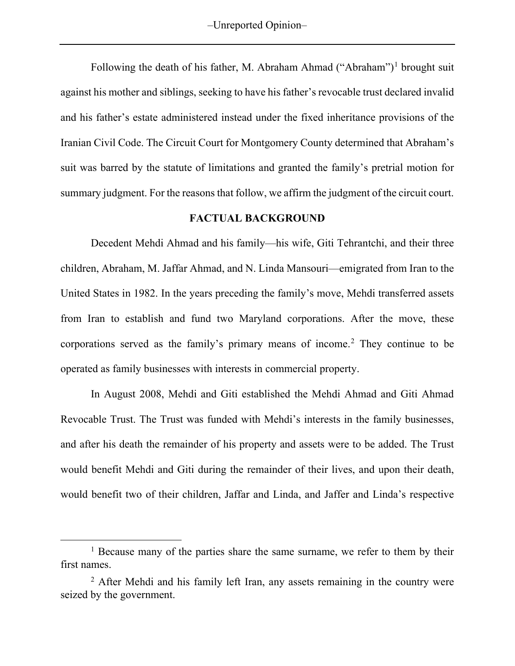–Unreported Opinion–

Following the death of his father, M. Abraham Ahmad ("Abraham")<sup>[1](#page-1-0)</sup> brought suit against his mother and siblings, seeking to have his father's revocable trust declared invalid and his father's estate administered instead under the fixed inheritance provisions of the Iranian Civil Code. The Circuit Court for Montgomery County determined that Abraham's suit was barred by the statute of limitations and granted the family's pretrial motion for summary judgment. For the reasons that follow, we affirm the judgment of the circuit court.

## **FACTUAL BACKGROUND**

Decedent Mehdi Ahmad and his family—his wife, Giti Tehrantchi, and their three children, Abraham, M. Jaffar Ahmad, and N. Linda Mansouri—emigrated from Iran to the United States in 1982. In the years preceding the family's move, Mehdi transferred assets from Iran to establish and fund two Maryland corporations. After the move, these corporations served as the family's primary means of income. [2](#page-1-1) They continue to be operated as family businesses with interests in commercial property.

In August 2008, Mehdi and Giti established the Mehdi Ahmad and Giti Ahmad Revocable Trust. The Trust was funded with Mehdi's interests in the family businesses, and after his death the remainder of his property and assets were to be added. The Trust would benefit Mehdi and Giti during the remainder of their lives, and upon their death, would benefit two of their children, Jaffar and Linda, and Jaffer and Linda's respective

<span id="page-1-0"></span><sup>&</sup>lt;sup>1</sup> Because many of the parties share the same surname, we refer to them by their first names.

<span id="page-1-1"></span> $2$  After Mehdi and his family left Iran, any assets remaining in the country were seized by the government.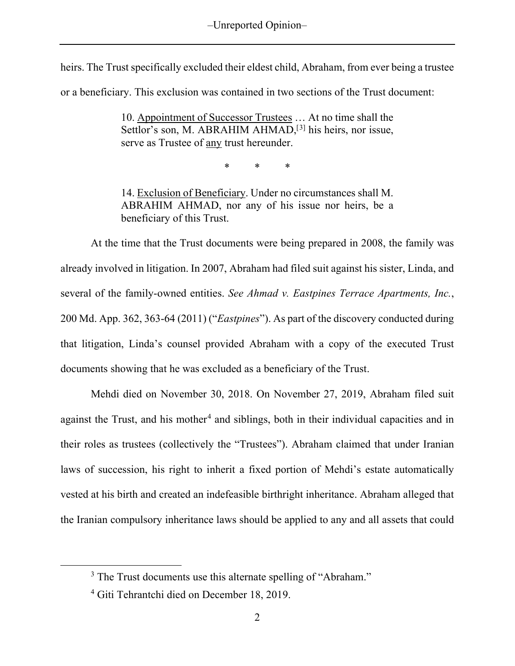heirs. The Trust specifically excluded their eldest child, Abraham, from ever being a trustee

or a beneficiary. This exclusion was contained in two sections of the Trust document:

10. Appointment of Successor Trustees … At no time shall the Settlor's son, M. ABRAHIM AHMAD,<sup>[[3](#page-2-0)]</sup> his heirs, nor issue, serve as Trustee of any trust hereunder.

\* \* \*

14. Exclusion of Beneficiary. Under no circumstances shall M. ABRAHIM AHMAD, nor any of his issue nor heirs, be a beneficiary of this Trust.

At the time that the Trust documents were being prepared in 2008, the family was already involved in litigation. In 2007, Abraham had filed suit against his sister, Linda, and several of the family-owned entities. *See Ahmad v. Eastpines Terrace Apartments, Inc.*, 200 Md. App. 362, 363-64 (2011) ("*Eastpines*"). As part of the discovery conducted during that litigation, Linda's counsel provided Abraham with a copy of the executed Trust documents showing that he was excluded as a beneficiary of the Trust.

Mehdi died on November 30, 2018. On November 27, 2019, Abraham filed suit against the Trust, and his mother<sup>[4](#page-2-1)</sup> and siblings, both in their individual capacities and in their roles as trustees (collectively the "Trustees"). Abraham claimed that under Iranian laws of succession, his right to inherit a fixed portion of Mehdi's estate automatically vested at his birth and created an indefeasible birthright inheritance. Abraham alleged that the Iranian compulsory inheritance laws should be applied to any and all assets that could

<span id="page-2-0"></span><sup>&</sup>lt;sup>3</sup> The Trust documents use this alternate spelling of "Abraham."

<span id="page-2-1"></span><sup>4</sup> Giti Tehrantchi died on December 18, 2019.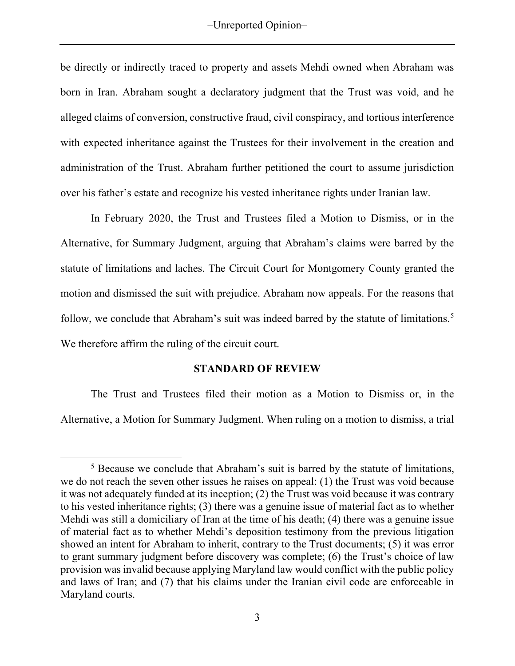be directly or indirectly traced to property and assets Mehdi owned when Abraham was born in Iran. Abraham sought a declaratory judgment that the Trust was void, and he alleged claims of conversion, constructive fraud, civil conspiracy, and tortious interference with expected inheritance against the Trustees for their involvement in the creation and administration of the Trust. Abraham further petitioned the court to assume jurisdiction over his father's estate and recognize his vested inheritance rights under Iranian law.

In February 2020, the Trust and Trustees filed a Motion to Dismiss, or in the Alternative, for Summary Judgment, arguing that Abraham's claims were barred by the statute of limitations and laches. The Circuit Court for Montgomery County granted the motion and dismissed the suit with prejudice. Abraham now appeals. For the reasons that follow, we conclude that Abraham's suit was indeed barred by the statute of limitations.<sup>[5](#page-3-0)</sup> We therefore affirm the ruling of the circuit court.

# **STANDARD OF REVIEW**

The Trust and Trustees filed their motion as a Motion to Dismiss or, in the Alternative, a Motion for Summary Judgment. When ruling on a motion to dismiss, a trial

<span id="page-3-0"></span><sup>5</sup> Because we conclude that Abraham's suit is barred by the statute of limitations, we do not reach the seven other issues he raises on appeal: (1) the Trust was void because it was not adequately funded at its inception; (2) the Trust was void because it was contrary to his vested inheritance rights; (3) there was a genuine issue of material fact as to whether Mehdi was still a domiciliary of Iran at the time of his death; (4) there was a genuine issue of material fact as to whether Mehdi's deposition testimony from the previous litigation showed an intent for Abraham to inherit, contrary to the Trust documents; (5) it was error to grant summary judgment before discovery was complete; (6) the Trust's choice of law provision was invalid because applying Maryland law would conflict with the public policy and laws of Iran; and (7) that his claims under the Iranian civil code are enforceable in Maryland courts.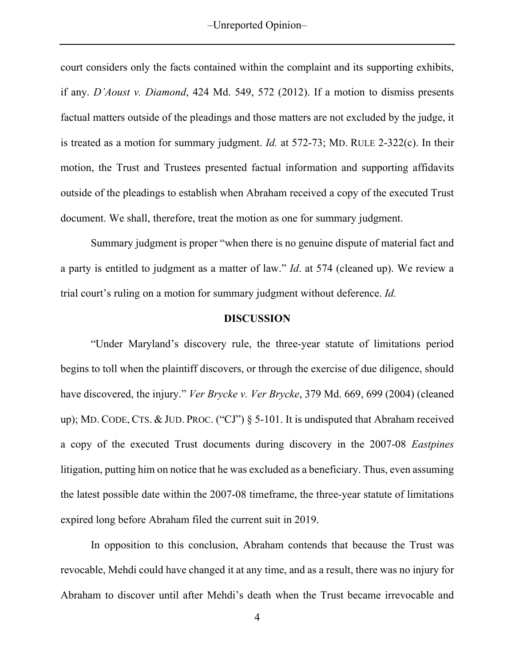court considers only the facts contained within the complaint and its supporting exhibits, if any. *D'Aoust v. Diamond*, 424 Md. 549, 572 (2012). If a motion to dismiss presents factual matters outside of the pleadings and those matters are not excluded by the judge, it is treated as a motion for summary judgment. *Id.* at 572-73; MD. RULE 2-322(c). In their motion, the Trust and Trustees presented factual information and supporting affidavits outside of the pleadings to establish when Abraham received a copy of the executed Trust document. We shall, therefore, treat the motion as one for summary judgment.

Summary judgment is proper "when there is no genuine dispute of material fact and a party is entitled to judgment as a matter of law." *Id*. at 574 (cleaned up). We review a trial court's ruling on a motion for summary judgment without deference. *Id.*

## **DISCUSSION**

"Under Maryland's discovery rule, the three-year statute of limitations period begins to toll when the plaintiff discovers, or through the exercise of due diligence, should have discovered, the injury." *Ver Brycke v. Ver Brycke*, 379 Md. 669, 699 (2004) (cleaned up); MD. CODE, CTS. & JUD. PROC. ("CJ") § 5-101. It is undisputed that Abraham received a copy of the executed Trust documents during discovery in the 2007-08 *Eastpines* litigation, putting him on notice that he was excluded as a beneficiary. Thus, even assuming the latest possible date within the 2007-08 timeframe, the three-year statute of limitations expired long before Abraham filed the current suit in 2019.

In opposition to this conclusion, Abraham contends that because the Trust was revocable, Mehdi could have changed it at any time, and as a result, there was no injury for Abraham to discover until after Mehdi's death when the Trust became irrevocable and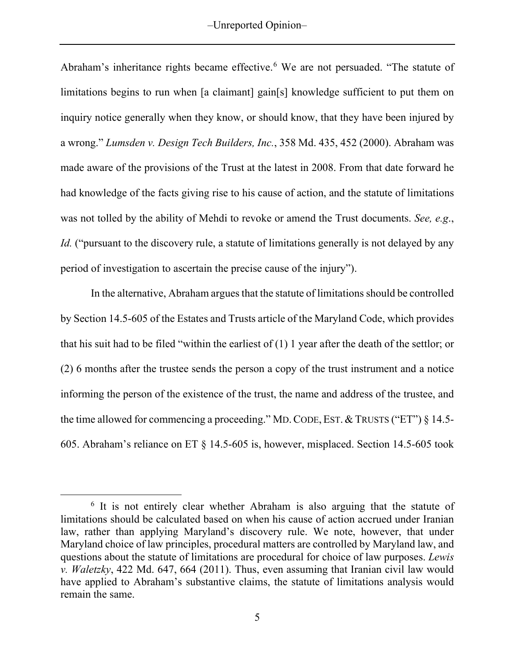–Unreported Opinion–

Abraham's inheritance rights became effective.<sup>[6](#page-5-0)</sup> We are not persuaded. "The statute of limitations begins to run when [a claimant] gain[s] knowledge sufficient to put them on inquiry notice generally when they know, or should know, that they have been injured by a wrong." *Lumsden v. Design Tech Builders, Inc.*, 358 Md. 435, 452 (2000). Abraham was made aware of the provisions of the Trust at the latest in 2008. From that date forward he had knowledge of the facts giving rise to his cause of action, and the statute of limitations was not tolled by the ability of Mehdi to revoke or amend the Trust documents. *See, e.g*., *Id.* ("pursuant to the discovery rule, a statute of limitations generally is not delayed by any period of investigation to ascertain the precise cause of the injury").

In the alternative, Abraham argues that the statute of limitations should be controlled by Section 14.5-605 of the Estates and Trusts article of the Maryland Code, which provides that his suit had to be filed "within the earliest of (1) 1 year after the death of the settlor; or (2) 6 months after the trustee sends the person a copy of the trust instrument and a notice informing the person of the existence of the trust, the name and address of the trustee, and the time allowed for commencing a proceeding." MD.CODE, EST. & TRUSTS ("ET") § 14.5- 605. Abraham's reliance on ET § 14.5-605 is, however, misplaced. Section 14.5-605 took

<span id="page-5-0"></span><sup>6</sup> It is not entirely clear whether Abraham is also arguing that the statute of limitations should be calculated based on when his cause of action accrued under Iranian law, rather than applying Maryland's discovery rule. We note, however, that under Maryland choice of law principles, procedural matters are controlled by Maryland law, and questions about the statute of limitations are procedural for choice of law purposes. *Lewis v. Waletzky*, 422 Md. 647, 664 (2011). Thus, even assuming that Iranian civil law would have applied to Abraham's substantive claims, the statute of limitations analysis would remain the same.